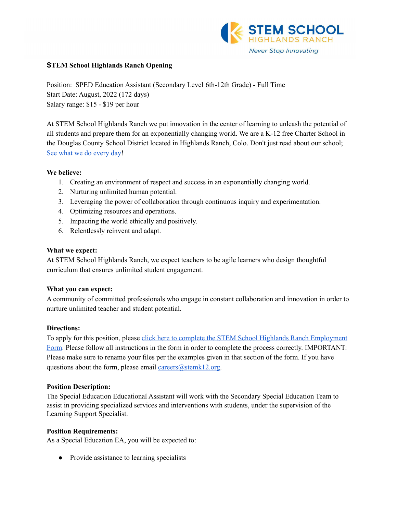

#### **STEM School Highlands Ranch Opening**

Position: SPED Education Assistant (Secondary Level 6th-12th Grade) - Full Time Start Date: August, 2022 (172 days) Salary range: \$15 - \$19 per hour

At STEM School Highlands Ranch we put innovation in the center of learning to unleash the potential of all students and prepare them for an exponentially changing world. We are a K-12 free Charter School in the Douglas County School District located in Highlands Ranch, Colo. Don't just read about our school; See what we do [every](https://www.youtube.com/channel/UCEjas5mnML_7D6bnjE6cBXQ) day!

#### **We believe:**

- 1. Creating an environment of respect and success in an exponentially changing world.
- 2. Nurturing unlimited human potential.
- 3. Leveraging the power of collaboration through continuous inquiry and experimentation.
- 4. Optimizing resources and operations.
- 5. Impacting the world ethically and positively.
- 6. Relentlessly reinvent and adapt.

#### **What we expect:**

At STEM School Highlands Ranch, we expect teachers to be agile learners who design thoughtful curriculum that ensures unlimited student engagement.

# **What you can expect:**

A community of committed professionals who engage in constant collaboration and innovation in order to nurture unlimited teacher and student potential.

# **Directions:**

To apply for this position, please click here to complete the STEM School Highlands Ranch [Employment](https://docs.google.com/forms/d/e/1FAIpQLSfix8N5Y4r8UN-EoNntuUI_3ZGfalCIW_KiKAja-s9jkUit8g/viewform?usp=sf_link) [Form.](https://docs.google.com/forms/d/e/1FAIpQLSfix8N5Y4r8UN-EoNntuUI_3ZGfalCIW_KiKAja-s9jkUit8g/viewform?usp=sf_link) Please follow all instructions in the form in order to complete the process correctly. IMPORTANT: Please make sure to rename your files per the examples given in that section of the form. If you have questions about the form, please email  $\frac{c \cdot \text{ar}(\alpha) + \text{ar}(\alpha)}{c \cdot \text{ar}(\alpha)}$ .

#### **Position Description:**

The Special Education Educational Assistant will work with the Secondary Special Education Team to assist in providing specialized services and interventions with students, under the supervision of the Learning Support Specialist.

# **Position Requirements:**

As a Special Education EA, you will be expected to:

• Provide assistance to learning specialists